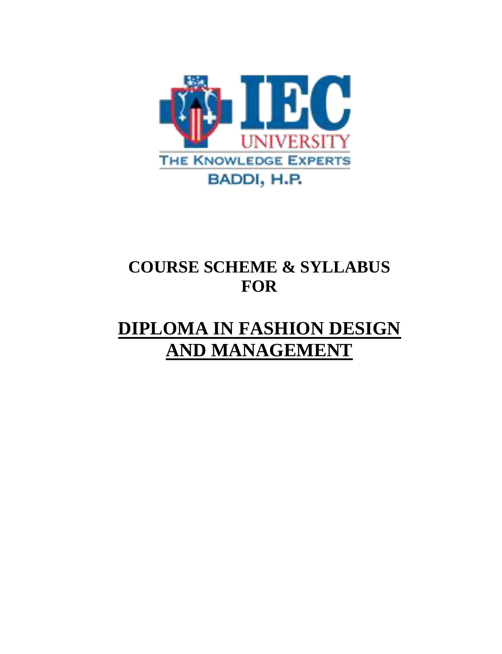

# **COURSE SCHEME & SYLLABUS FOR**

# **DIPLOMA IN FASHION DESIGN AND MANAGEMENT**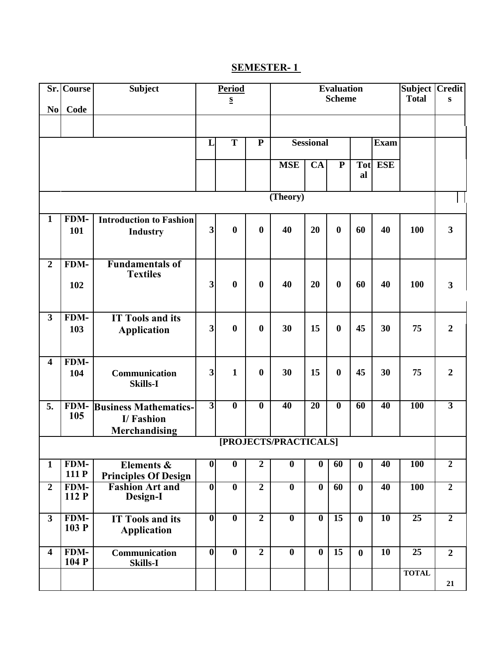#### **SEMESTER- 1**

|                         | Sr. Course    | <b>Subject</b>                            |                         | <b>Period</b><br>$\underline{\mathbf{S}}$ |                         | <b>Evaluation</b><br><b>Scheme</b> |                 |                         | Subject Credit<br><b>Total</b> | S          |                 |                         |
|-------------------------|---------------|-------------------------------------------|-------------------------|-------------------------------------------|-------------------------|------------------------------------|-----------------|-------------------------|--------------------------------|------------|-----------------|-------------------------|
| N <sub>o</sub>          | Code          |                                           |                         |                                           |                         |                                    |                 |                         |                                |            |                 |                         |
|                         |               |                                           |                         |                                           |                         |                                    |                 |                         |                                |            |                 |                         |
|                         |               |                                           | L                       | T                                         | ${\bf P}$               | <b>Sessional</b>                   |                 | Exam                    |                                |            |                 |                         |
|                         |               |                                           |                         |                                           |                         | <b>MSE</b>                         | $\overline{CA}$ | ${\bf P}$               | <b>Tot</b>                     | <b>ESE</b> |                 |                         |
|                         |               |                                           |                         |                                           |                         |                                    |                 |                         | al                             |            |                 |                         |
|                         |               |                                           |                         |                                           |                         | (Theory)                           |                 |                         |                                |            |                 |                         |
|                         |               |                                           |                         |                                           |                         |                                    |                 |                         |                                |            |                 |                         |
| $\mathbf{1}$            | FDM-          | <b>Introduction to Fashion</b>            | 3                       | $\bf{0}$                                  | $\bf{0}$                | 40                                 | 20              | $\bf{0}$                | 60                             | 40         | 100             | $\overline{\mathbf{3}}$ |
|                         | 101           | Industry                                  |                         |                                           |                         |                                    |                 |                         |                                |            |                 |                         |
|                         |               |                                           |                         |                                           |                         |                                    |                 |                         |                                |            |                 |                         |
| $\overline{2}$          | FDM-          | <b>Fundamentals of</b><br><b>Textiles</b> |                         |                                           |                         |                                    |                 |                         |                                |            |                 |                         |
|                         | 102           |                                           | 3                       | $\bf{0}$                                  | $\boldsymbol{0}$        | 40                                 | 20              | $\boldsymbol{0}$        | 60                             | 40         | 100             | $\mathbf{3}$            |
|                         |               |                                           |                         |                                           |                         |                                    |                 |                         |                                |            |                 |                         |
| 3                       | FDM-          | <b>IT Tools and its</b>                   |                         |                                           |                         |                                    |                 |                         |                                |            |                 |                         |
|                         | 103           | <b>Application</b>                        | 3                       | $\bf{0}$                                  | $\bf{0}$                | 30                                 | 15              | $\bf{0}$                | 45                             | 30         | 75              | $\overline{2}$          |
|                         |               |                                           |                         |                                           |                         |                                    |                 |                         |                                |            |                 |                         |
| $\overline{\mathbf{4}}$ | FDM-          |                                           |                         |                                           |                         |                                    |                 |                         |                                |            |                 |                         |
|                         | 104           | Communication<br><b>Skills-I</b>          | 3                       | $\mathbf{1}$                              | $\bf{0}$                | 30                                 | 15              | $\bf{0}$                | 45                             | 30         | 75              | $\overline{2}$          |
|                         |               |                                           |                         |                                           |                         |                                    |                 |                         |                                |            |                 |                         |
| 5.                      | FDM-          | <b>Business Mathematics-</b>              | $\overline{\mathbf{3}}$ | $\overline{\mathbf{0}}$                   | $\overline{\mathbf{0}}$ | $\overline{40}$                    | $\overline{20}$ | $\overline{\mathbf{0}}$ | $\overline{60}$                | 40         | <b>100</b>      | $\overline{\mathbf{3}}$ |
|                         | 105           | I/Fashion                                 |                         |                                           |                         |                                    |                 |                         |                                |            |                 |                         |
|                         |               | <b>Merchandising</b>                      |                         |                                           |                         | [PROJECTS/PRACTICALS]              |                 |                         |                                |            |                 |                         |
|                         |               |                                           |                         |                                           |                         |                                    |                 |                         |                                |            |                 |                         |
| $\overline{1}$          | FDM-<br>111 P | Elements &<br><b>Principles Of Design</b> | $\overline{\mathbf{0}}$ | $\bf{0}$                                  | $\boldsymbol{2}$        | $\boldsymbol{0}$                   |                 | $\overline{0}$ 60       | $\boldsymbol{0}$               | 40         | <b>100</b>      | $\overline{2}$          |
| $\overline{2}$          | FDM-          | <b>Fashion Art and</b>                    | $\boldsymbol{0}$        | $\bf{0}$                                  | $\overline{2}$          | $\boldsymbol{0}$                   | $\bf{0}$        | 60                      | $\bf{0}$                       | 40         | 100             | $\overline{2}$          |
|                         | 112 P         | Design-I                                  |                         |                                           |                         |                                    |                 |                         |                                |            |                 |                         |
| $\overline{\mathbf{3}}$ | FDM-          | <b>IT Tools and its</b>                   | $\overline{\mathbf{0}}$ | $\bf{0}$                                  | $\overline{2}$          | $\boldsymbol{0}$                   | $\bf{0}$        | 15                      | $\boldsymbol{0}$               | 10         | $\overline{25}$ | $\overline{2}$          |
|                         | 103 P         | <b>Application</b>                        |                         |                                           |                         |                                    |                 |                         |                                |            |                 |                         |
| 4                       | FDM-          | Communication                             | $\bf{0}$                | $\bf{0}$                                  | $\overline{2}$          | $\bf{0}$                           | $\bf{0}$        | 15                      | $\bf{0}$                       | 10         | $\overline{25}$ | $\overline{2}$          |
|                         | 104 P         | Skills-I                                  |                         |                                           |                         |                                    |                 |                         |                                |            |                 |                         |
|                         |               |                                           |                         |                                           |                         |                                    |                 |                         |                                |            | <b>TOTAL</b>    | 21                      |
|                         |               |                                           |                         |                                           |                         |                                    |                 |                         |                                |            |                 |                         |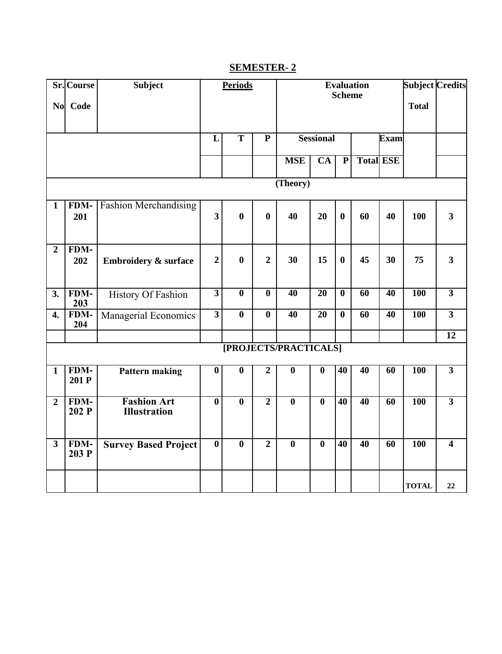#### **SEMESTER- 2**

|                         | <b>Sr. Course</b> | <b>Subject</b>                            | <b>Periods</b>          |                         |                         | <b>Evaluation</b>       |                         |                         |                 |                  | <b>Subject Credits</b> |                         |
|-------------------------|-------------------|-------------------------------------------|-------------------------|-------------------------|-------------------------|-------------------------|-------------------------|-------------------------|-----------------|------------------|------------------------|-------------------------|
| <b>No</b>               | Code              |                                           |                         |                         |                         | <b>Scheme</b>           |                         |                         | <b>Total</b>    |                  |                        |                         |
|                         |                   |                                           | L                       | $\overline{\mathbf{T}}$ | ${\bf P}$               | <b>Sessional</b>        |                         |                         | <b>Exam</b>     |                  |                        |                         |
|                         |                   |                                           |                         |                         |                         | <b>MSE</b>              | $\overline{CA}$         | $\overline{\mathbf{P}}$ |                 | <b>Total ESE</b> |                        |                         |
|                         | (Theory)          |                                           |                         |                         |                         |                         |                         |                         |                 |                  |                        |                         |
| $\mathbf{1}$            | FDM-<br>201       | <b>Fashion Merchandising</b>              | $\overline{\mathbf{3}}$ | $\bf{0}$                | $\bf{0}$                | 40                      | 20                      | $\bf{0}$                | 60              | 40               | 100                    | $\overline{\mathbf{3}}$ |
| $\overline{2}$          | FDM-<br>202       | Embroidery & surface                      | $\overline{2}$          | $\bf{0}$                | $\overline{2}$          | 30                      | 15                      | $\bf{0}$                | 45              | 30               | 75                     | $\overline{\mathbf{3}}$ |
| 3.                      | FDM-<br>203       | History Of Fashion                        | $\overline{\mathbf{3}}$ | $\overline{\mathbf{0}}$ | $\overline{\mathbf{0}}$ | 40                      | $\overline{20}$         | $\overline{\mathbf{0}}$ | 60              | 40               | <b>100</b>             | $\overline{\mathbf{3}}$ |
| 4.                      | FDM-<br>204       | Managerial Economics                      | $\overline{\mathbf{3}}$ | $\overline{\mathbf{0}}$ | $\overline{\mathbf{0}}$ | 40                      | $\overline{20}$         | $\overline{\mathbf{0}}$ | $\overline{60}$ | $\overline{40}$  | <b>100</b>             | $\overline{3}$          |
|                         |                   |                                           |                         |                         |                         |                         |                         |                         |                 |                  |                        | $\overline{12}$         |
|                         |                   |                                           |                         |                         |                         | [PROJECTS/PRACTICALS]   |                         |                         |                 |                  |                        |                         |
| $\mathbf{1}$            | FDM-<br>201 P     | <b>Pattern making</b>                     | $\boldsymbol{0}$        | $\boldsymbol{0}$        | $\overline{2}$          | $\overline{\mathbf{0}}$ | $\boldsymbol{0}$        | 40                      | $\overline{40}$ | $\overline{60}$  | <b>100</b>             | $\overline{\mathbf{3}}$ |
| $\overline{2}$          | FDM-<br>202 P     | <b>Fashion Art</b><br><b>Illustration</b> | $\overline{\mathbf{0}}$ | $\overline{\mathbf{0}}$ | $\overline{2}$          | $\overline{\mathbf{0}}$ | $\overline{\mathbf{0}}$ | 40                      | 40              | 60               | <b>100</b>             | $\overline{3}$          |
| $\overline{\mathbf{3}}$ | FDM-<br>203 P     | <b>Survey Based Project</b>               | $\overline{\mathbf{0}}$ | $\bf{0}$                | $\overline{2}$          | $\overline{\mathbf{0}}$ | $\boldsymbol{0}$        | $\overline{40}$         | $\overline{40}$ | 60               | <b>100</b>             | $\overline{4}$          |
|                         |                   |                                           |                         |                         |                         |                         |                         |                         |                 |                  | <b>TOTAL</b>           | 22                      |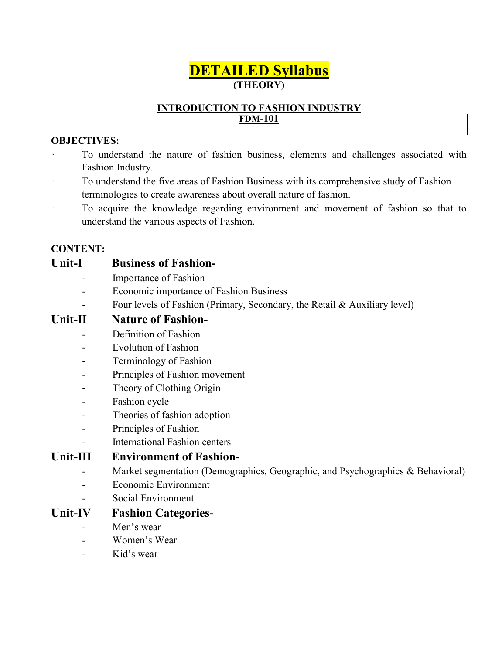# **DETAILED Syllabus (THEORY)**

#### **INTRODUCTION TO FASHION INDUSTRY FDM-101**

#### **OBJECTIVES:**

- · To understand the nature of fashion business, elements and challenges associated with Fashion Industry.
- · To understand the five areas of Fashion Business with its comprehensive study of Fashion terminologies to create awareness about overall nature of fashion.
- · To acquire the knowledge regarding environment and movement of fashion so that to understand the various aspects of Fashion.

#### **CONTENT:**

### **Unit-I Business of Fashion-**

- Importance of Fashion
- Economic importance of Fashion Business
- Four levels of Fashion (Primary, Secondary, the Retail & Auxiliary level)

## **Unit-II Nature of Fashion-**

- Definition of Fashion
- Evolution of Fashion
- Terminology of Fashion
- Principles of Fashion movement
- Theory of Clothing Origin
- Fashion cycle
- Theories of fashion adoption
- Principles of Fashion
- International Fashion centers

### **Unit-III Environment of Fashion-**

- Market segmentation (Demographics, Geographic, and Psychographics & Behavioral)
- Economic Environment
- Social Environment

### **Unit-IV Fashion Categories-**

- Men's wear
- Women's Wear
- Kid's wear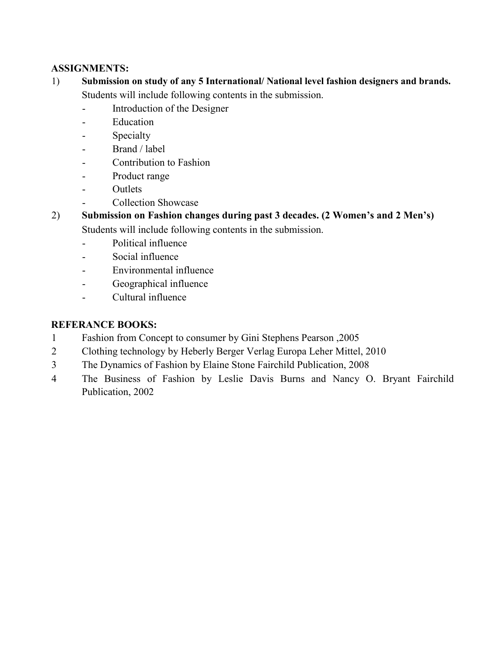#### **ASSIGNMENTS:**

- 1) **Submission on study of any 5 International/ National level fashion designers and brands.**  Students will include following contents in the submission.
	- Introduction of the Designer
	- Education
	- Specialty
	- Brand / label
	- Contribution to Fashion
	- Product range
	- Outlets
	- Collection Showcase
- 2) **Submission on Fashion changes during past 3 decades. (2 Women's and 2 Men's)**

Students will include following contents in the submission.

- Political influence
- Social influence
- Environmental influence
- Geographical influence
- Cultural influence

#### **REFERANCE BOOKS:**

- 1 Fashion from Concept to consumer by Gini Stephens Pearson ,2005
- 2 Clothing technology by Heberly Berger Verlag Europa Leher Mittel, 2010
- 3 The Dynamics of Fashion by Elaine Stone Fairchild Publication, 2008
- 4 The Business of Fashion by Leslie Davis Burns and Nancy O. Bryant Fairchild Publication, 2002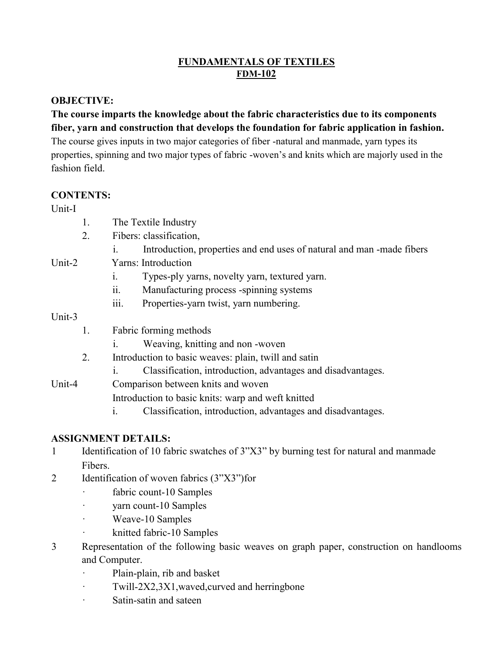### **FUNDAMENTALS OF TEXTILES FDM-102**

#### **OBJECTIVE:**

### **The course imparts the knowledge about the fabric characteristics due to its components fiber, yarn and construction that develops the foundation for fabric application in fashion.**

The course gives inputs in two major categories of fiber -natural and manmade, yarn types its properties, spinning and two major types of fabric -woven's and knits which are majorly used in the fashion field.

#### **CONTENTS:**

Unit-I

- 1. The Textile Industry
- 2. Fibers: classification,
	- i. Introduction, properties and end uses of natural and man -made fibers
- Unit-2 Yarns: Introduction
	- i. Types-ply yarns, novelty yarn, textured yarn.
	- ii. Manufacturing process -spinning systems
	- iii. Properties-yarn twist, yarn numbering.

#### Unit-3

- 1. Fabric forming methods
	- i. Weaving, knitting and non -woven
- 2. Introduction to basic weaves: plain, twill and satin
	- i. Classification, introduction, advantages and disadvantages.

Unit-4 Comparison between knits and woven Introduction to basic knits: warp and weft knitted

i. Classification, introduction, advantages and disadvantages.

#### **ASSIGNMENT DETAILS:**

- 1 Identification of 10 fabric swatches of 3"X3" by burning test for natural and manmade Fibers.
- 2 Identification of woven fabrics (3"X3")for
	- fabric count-10 Samples
	- yarn count-10 Samples
	- · Weave-10 Samples
	- knitted fabric-10 Samples
- 3 Representation of the following basic weaves on graph paper, construction on handlooms and Computer.
	- · Plain-plain, rib and basket
	- · Twill-2X2,3X1,waved,curved and herringbone
	- · Satin-satin and sateen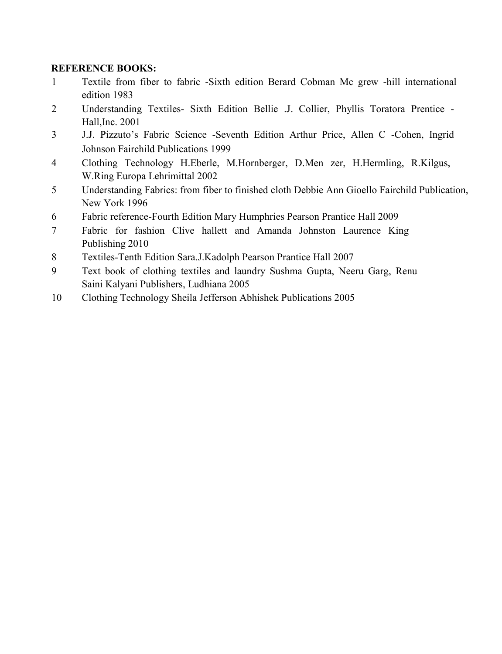#### **REFERENCE BOOKS:**

- 1 Textile from fiber to fabric -Sixth edition Berard Cobman Mc grew -hill international edition 1983
- 2 Understanding Textiles- Sixth Edition Bellie .J. Collier, Phyllis Toratora Prentice Hall,Inc. 2001
- 3 J.J. Pizzuto's Fabric Science -Seventh Edition Arthur Price, Allen C -Cohen, Ingrid Johnson Fairchild Publications 1999
- 4 Clothing Technology H.Eberle, M.Hornberger, D.Men zer, H.Hermling, R.Kilgus, W.Ring Europa Lehrimittal 2002
- 5 Understanding Fabrics: from fiber to finished cloth Debbie Ann Gioello Fairchild Publication, New York 1996
- 6 Fabric reference-Fourth Edition Mary Humphries Pearson Prantice Hall 2009
- 7 Fabric for fashion Clive hallett and Amanda Johnston Laurence King Publishing 2010
- 8 Textiles-Tenth Edition Sara.J.Kadolph Pearson Prantice Hall 2007
- 9 Text book of clothing textiles and laundry Sushma Gupta, Neeru Garg, Renu Saini Kalyani Publishers, Ludhiana 2005
- 10 Clothing Technology Sheila Jefferson Abhishek Publications 2005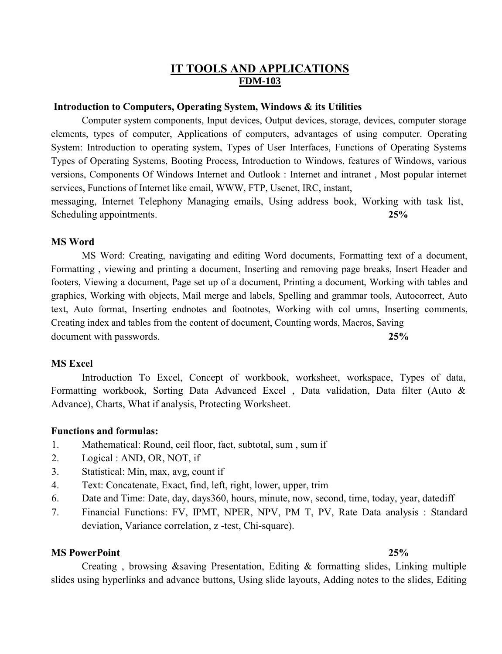#### **IT TOOLS AND APPLICATIONS FDM-103**

#### **Introduction to Computers, Operating System, Windows & its Utilities**

Computer system components, Input devices, Output devices, storage, devices, computer storage elements, types of computer, Applications of computers, advantages of using computer. Operating System: Introduction to operating system, Types of User Interfaces, Functions of Operating Systems Types of Operating Systems, Booting Process, Introduction to Windows, features of Windows, various versions, Components Of Windows Internet and Outlook : Internet and intranet , Most popular internet services, Functions of Internet like email, WWW, FTP, Usenet, IRC, instant,

messaging, Internet Telephony Managing emails, Using address book, Working with task list, Scheduling appointments. **25%** 

#### **MS Word**

MS Word: Creating, navigating and editing Word documents, Formatting text of a document, Formatting , viewing and printing a document, Inserting and removing page breaks, Insert Header and footers, Viewing a document, Page set up of a document, Printing a document, Working with tables and graphics, Working with objects, Mail merge and labels, Spelling and grammar tools, Autocorrect, Auto text, Auto format, Inserting endnotes and footnotes, Working with col umns, Inserting comments, Creating index and tables from the content of document, Counting words, Macros, Saving document with passwords. **25%**

#### **MS Excel**

Introduction To Excel, Concept of workbook, worksheet, workspace, Types of data, Formatting workbook, Sorting Data Advanced Excel , Data validation, Data filter (Auto & Advance), Charts, What if analysis, Protecting Worksheet.

#### **Functions and formulas:**

- 1. Mathematical: Round, ceil floor, fact, subtotal, sum , sum if
- 2. Logical : AND, OR, NOT, if
- 3. Statistical: Min, max, avg, count if
- 4. Text: Concatenate, Exact, find, left, right, lower, upper, trim
- 6. Date and Time: Date, day, days360, hours, minute, now, second, time, today, year, datediff
- 7. Financial Functions: FV, IPMT, NPER, NPV, PM T, PV, Rate Data analysis : Standard deviation, Variance correlation, z -test, Chi-square).

#### **MS PowerPoint 25%**

Creating , browsing &saving Presentation, Editing & formatting slides, Linking multiple slides using hyperlinks and advance buttons, Using slide layouts, Adding notes to the slides, Editing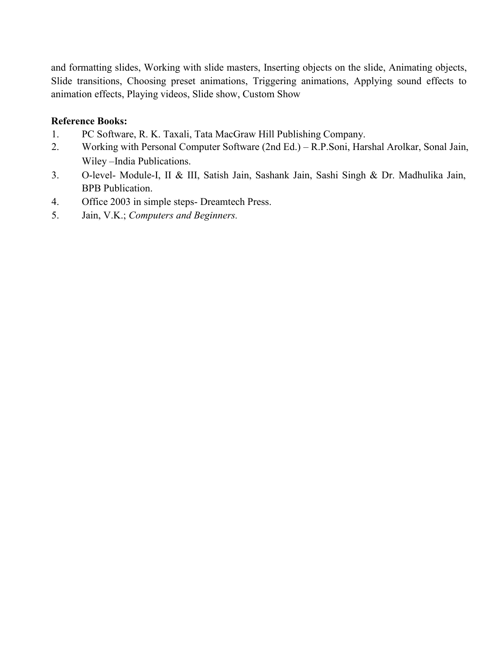and formatting slides, Working with slide masters, Inserting objects on the slide, Animating objects, Slide transitions, Choosing preset animations, Triggering animations, Applying sound effects to animation effects, Playing videos, Slide show, Custom Show

#### **Reference Books:**

- 1. PC Software, R. K. Taxali, Tata MacGraw Hill Publishing Company.
- 2. Working with Personal Computer Software (2nd Ed.) R.P.Soni, Harshal Arolkar, Sonal Jain, Wiley –India Publications.
- 3. O-level- Module-I, II & III, Satish Jain, Sashank Jain, Sashi Singh & Dr. Madhulika Jain, BPB Publication.
- 4. Office 2003 in simple steps- Dreamtech Press.
- 5. Jain, V.K.; *Computers and Beginners.*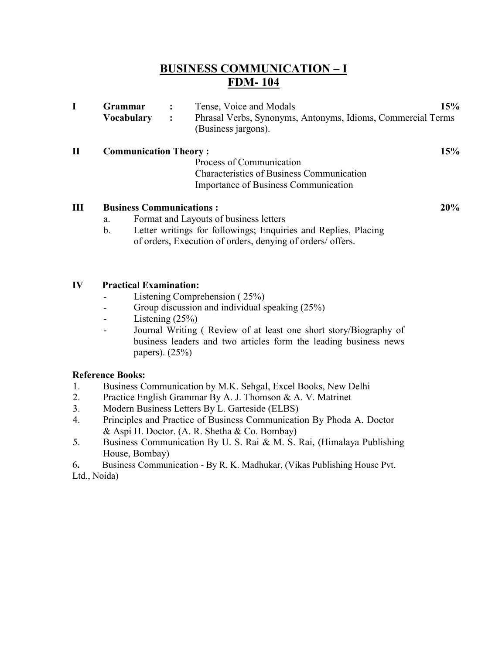# **BUSINESS COMMUNICATION – I FDM- 104**

|   | <b>Grammar</b>               | Tense, Voice and Modals                                                                            | 15% |
|---|------------------------------|----------------------------------------------------------------------------------------------------|-----|
|   | <b>Vocabulary</b>            | Phrasal Verbs, Synonyms, Antonyms, Idioms, Commercial Terms<br>$\mathbf{I}$<br>(Business jargons). |     |
| П | <b>Communication Theory:</b> |                                                                                                    | 15% |
|   |                              | Process of Communication                                                                           |     |
|   |                              |                                                                                                    |     |
|   |                              | <b>Characteristics of Business Communication</b>                                                   |     |

#### **III Business Communications : 20%**

a. Format and Layouts of business letters

- 
- b. Letter writings for followings; Enquiries and Replies, Placing of orders, Execution of orders, denying of orders/ offers.

#### **IV Practical Examination:**

- Listening Comprehension (25%)
- Group discussion and individual speaking (25%)
- Listening (25%)
- Journal Writing ( Review of at least one short story/Biography of business leaders and two articles form the leading business news papers). (25%)

#### **Reference Books:**

- 1. Business Communication by M.K. Sehgal, Excel Books, New Delhi
- 2. Practice English Grammar By A. J. Thomson & A. V. Matrinet
- 3. Modern Business Letters By L. Garteside (ELBS)
- 4. Principles and Practice of Business Communication By Phoda A. Doctor & Aspi H. Doctor. (A. R. Shetha & Co. Bombay)
- 5. Business Communication By U. S. Rai & M. S. Rai, (Himalaya Publishing House, Bombay)
- 6**.** Business Communication By R. K. Madhukar, (Vikas Publishing House Pvt.

Ltd., Noida)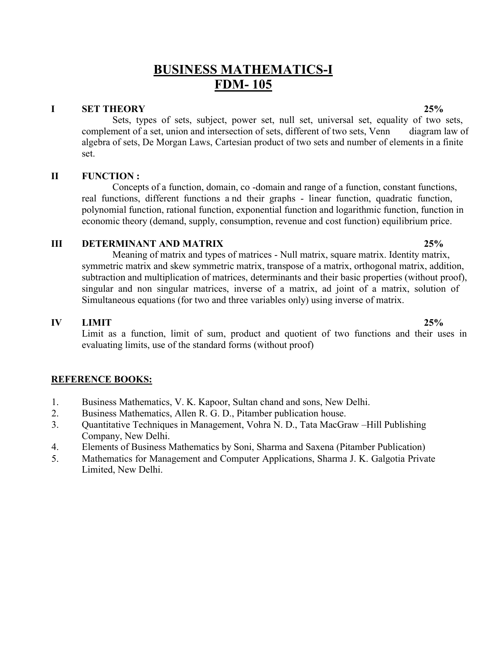# **BUSINESS MATHEMATICS-I FDM- 105**

#### **I SET THEORY 25%**

Sets, types of sets, subject, power set, null set, universal set, equality of two sets, complement of a set, union and intersection of sets, different of two sets, Venn diagram law of algebra of sets, De Morgan Laws, Cartesian product of two sets and number of elements in a finite set.

#### **II FUNCTION :**

Concepts of a function, domain, co -domain and range of a function, constant functions, real functions, different functions a nd their graphs - linear function, quadratic function, polynomial function, rational function, exponential function and logarithmic function, function in economic theory (demand, supply, consumption, revenue and cost function) equilibrium price.

#### **III DETERMINANT AND MATRIX 25%**

Meaning of matrix and types of matrices - Null matrix, square matrix. Identity matrix, symmetric matrix and skew symmetric matrix, transpose of a matrix, orthogonal matrix, addition, subtraction and multiplication of matrices, determinants and their basic properties (without proof), singular and non singular matrices, inverse of a matrix, ad joint of a matrix, solution of Simultaneous equations (for two and three variables only) using inverse of matrix.

#### **IV LIMIT 25%**

Limit as a function, limit of sum, product and quotient of two functions and their uses in evaluating limits, use of the standard forms (without proof)

#### **REFERENCE BOOKS:**

- 1. Business Mathematics, V. K. Kapoor, Sultan chand and sons, New Delhi.
- 2. Business Mathematics, Allen R. G. D., Pitamber publication house.
- 3. Quantitative Techniques in Management, Vohra N. D., Tata MacGraw –Hill Publishing Company, New Delhi.
- 4. Elements of Business Mathematics by Soni, Sharma and Saxena (Pitamber Publication)
- 5. Mathematics for Management and Computer Applications, Sharma J. K. Galgotia Private Limited, New Delhi.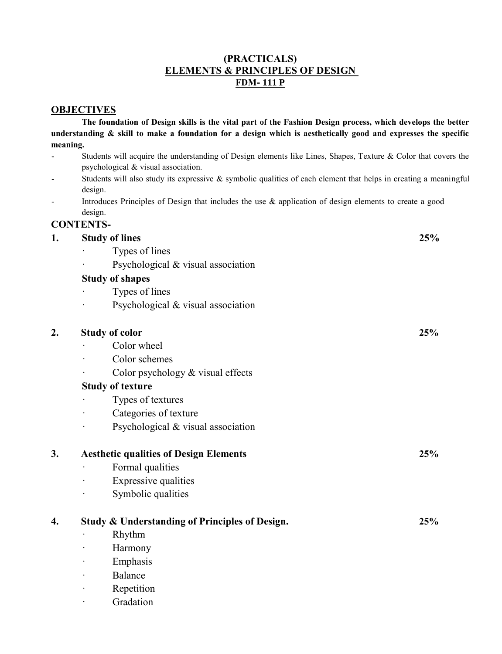#### **(PRACTICALS) ELEMENTS & PRINCIPLES OF DESIGN FDM- 111 P**

#### **OBJECTIVES**

**The foundation of Design skills is the vital part of the Fashion Design process, which develops the better understanding & skill to make a foundation for a design which is aesthetically good and expresses the specific meaning.**

- Students will acquire the understanding of Design elements like Lines, Shapes, Texture & Color that covers the psychological & visual association.
- Students will also study its expressive  $\&$  symbolic qualities of each element that helps in creating a meaningful design.
- Introduces Principles of Design that includes the use & application of design elements to create a good design.

#### **CONTENTS-**

| 1. | <b>Study of lines</b>                          | 25% |
|----|------------------------------------------------|-----|
|    | Types of lines                                 |     |
|    | Psychological & visual association             |     |
|    | <b>Study of shapes</b>                         |     |
|    | Types of lines                                 |     |
|    | Psychological & visual association             |     |
| 2. | <b>Study of color</b>                          | 25% |
|    | Color wheel                                    |     |
|    | Color schemes                                  |     |
|    | Color psychology & visual effects              |     |
|    | <b>Study of texture</b>                        |     |
|    | Types of textures                              |     |
|    | Categories of texture                          |     |
|    | Psychological & visual association             |     |
| 3. | <b>Aesthetic qualities of Design Elements</b>  | 25% |
|    | Formal qualities                               |     |
|    | Expressive qualities                           |     |
|    | Symbolic qualities                             |     |
| 4. | Study & Understanding of Principles of Design. | 25% |
|    | Rhythm                                         |     |
|    | Harmony                                        |     |
|    | Emphasis                                       |     |
|    | Balance                                        |     |
|    | Repetition                                     |     |
|    | Gradation                                      |     |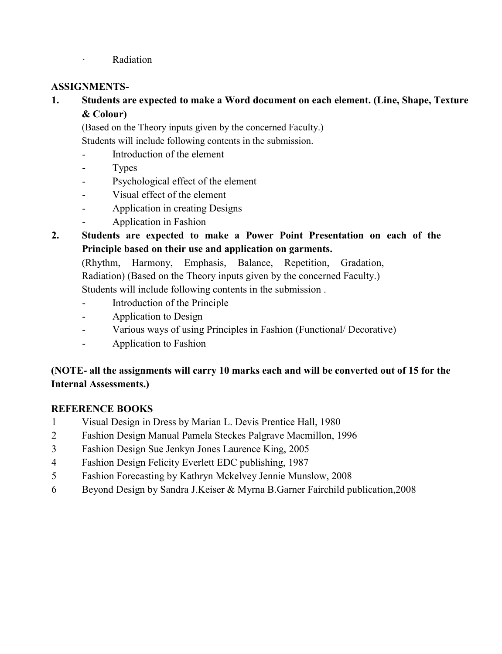**Radiation** 

#### **ASSIGNMENTS-**

**1. Students are expected to make a Word document on each element. (Line, Shape, Texture & Colour)**

(Based on the Theory inputs given by the concerned Faculty.) Students will include following contents in the submission.

- Introduction of the element
- **Types**
- Psychological effect of the element
- Visual effect of the element
- Application in creating Designs
- Application in Fashion
- **2. Students are expected to make a Power Point Presentation on each of the Principle based on their use and application on garments.**

(Rhythm, Harmony, Emphasis, Balance, Repetition, Gradation, Radiation) (Based on the Theory inputs given by the concerned Faculty.) Students will include following contents in the submission .

- Introduction of the Principle
- Application to Design
- Various ways of using Principles in Fashion (Functional/ Decorative)
- Application to Fashion

#### **(NOTE- all the assignments will carry 10 marks each and will be converted out of 15 for the Internal Assessments.)**

#### **REFERENCE BOOKS**

- 1 Visual Design in Dress by Marian L. Devis Prentice Hall, 1980
- 2 Fashion Design Manual Pamela Steckes Palgrave Macmillon, 1996
- 3 Fashion Design Sue Jenkyn Jones Laurence King, 2005
- 4 Fashion Design Felicity Everlett EDC publishing, 1987
- 5 Fashion Forecasting by Kathryn Mckelvey Jennie Munslow, 2008
- 6 Beyond Design by Sandra J.Keiser & Myrna B.Garner Fairchild publication,2008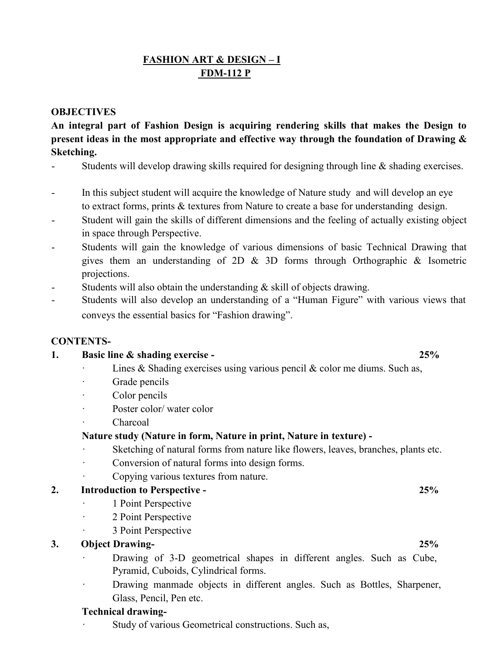## **FASHION ART & DESIGN – I FDM-112 P**

#### **OBJECTIVES**

**An integral part of Fashion Design is acquiring rendering skills that makes the Design to present ideas in the most appropriate and effective way through the foundation of Drawing & Sketching.**

- Students will develop drawing skills required for designing through line & shading exercises.
- In this subject student will acquire the knowledge of Nature study and will develop an eye to extract forms, prints & textures from Nature to create a base for understanding design.
- Student will gain the skills of different dimensions and the feeling of actually existing object in space through Perspective.
- Students will gain the knowledge of various dimensions of basic Technical Drawing that gives them an understanding of 2D & 3D forms through Orthographic & Isometric projections.
- Students will also obtain the understanding  $\&$  skill of objects drawing.
- Students will also develop an understanding of a "Human Figure" with various views that conveys the essential basics for "Fashion drawing".

#### **CONTENTS-**

# **1. Basic line & shading exercise - 25%**

- Lines & Shading exercises using various pencil  $\&$  color me diums. Such as,
- Grade pencils
- Color pencils
- Poster color/ water color
- · Charcoal

#### **Nature study (Nature in form, Nature in print, Nature in texture) -**

- Sketching of natural forms from nature like flowers, leaves, branches, plants etc.
- · Conversion of natural forms into design forms.
- Copying various textures from nature.

#### **2. Introduction to Perspective - 25%**

- · 1 Point Perspective
- · 2 Point Perspective
- 3 Point Perspective

#### **3. Object Drawing- 25%**

- Drawing of 3-D geometrical shapes in different angles. Such as Cube, Pyramid, Cuboids, Cylindrical forms.
- Drawing manmade objects in different angles. Such as Bottles, Sharpener, Glass, Pencil, Pen etc.

#### **Technical drawing-**

Study of various Geometrical constructions. Such as,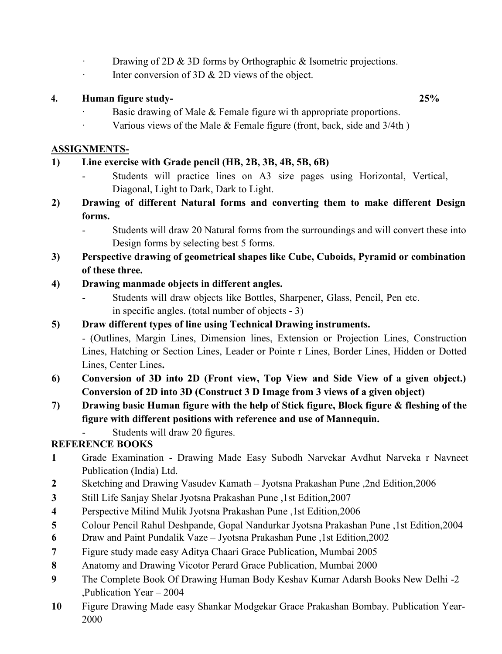- · Drawing of 2D & 3D forms by Orthographic & Isometric projections.
- · Inter conversion of 3D & 2D views of the object.

#### **4. Human figure study- 25%**

- · Basic drawing of Male & Female figure wi th appropriate proportions.
- · Various views of the Male & Female figure (front, back, side and 3/4th )

#### **ASSIGNMENTS-**

#### **1) Line exercise with Grade pencil (HB, 2B, 3B, 4B, 5B, 6B)**

- Students will practice lines on A3 size pages using Horizontal, Vertical, Diagonal, Light to Dark, Dark to Light.
- **2) Drawing of different Natural forms and converting them to make different Design forms.** 
	- Students will draw 20 Natural forms from the surroundings and will convert these into Design forms by selecting best 5 forms.
- **3) Perspective drawing of geometrical shapes like Cube, Cuboids, Pyramid or combination of these three.**

#### **4) Drawing manmade objects in different angles.**

Students will draw objects like Bottles, Sharpener, Glass, Pencil, Pen etc. in specific angles. (total number of objects - 3)

#### **5) Draw different types of line using Technical Drawing instruments.**

- (Outlines, Margin Lines, Dimension lines, Extension or Projection Lines, Construction Lines, Hatching or Section Lines, Leader or Pointe r Lines, Border Lines, Hidden or Dotted Lines, Center Lines**.**

- **6) Conversion of 3D into 2D (Front view, Top View and Side View of a given object.) Conversion of 2D into 3D (Construct 3 D Image from 3 views of a given object)**
- **7) Drawing basic Human figure with the help of Stick figure, Block figure & fleshing of the figure with different positions with reference and use of Mannequin.** 
	- Students will draw 20 figures.

### **REFERENCE BOOKS**

- **1** Grade Examination Drawing Made Easy Subodh Narvekar Avdhut Narveka r Navneet Publication (India) Ltd.
- **2** Sketching and Drawing Vasudev Kamath Jyotsna Prakashan Pune ,2nd Edition,2006
- **3** Still Life Sanjay Shelar Jyotsna Prakashan Pune ,1st Edition,2007
- **4** Perspective Milind Mulik Jyotsna Prakashan Pune ,1st Edition,2006
- **5** Colour Pencil Rahul Deshpande, Gopal Nandurkar Jyotsna Prakashan Pune ,1st Edition,2004
- **6** Draw and Paint Pundalik Vaze Jyotsna Prakashan Pune ,1st Edition,2002
- **7** Figure study made easy Aditya Chaari Grace Publication, Mumbai 2005
- **8** Anatomy and Drawing Vicotor Perard Grace Publication, Mumbai 2000
- **9** The Complete Book Of Drawing Human Body Keshav Kumar Adarsh Books New Delhi -2 ,Publication Year – 2004
- **10** Figure Drawing Made easy Shankar Modgekar Grace Prakashan Bombay. Publication Year-2000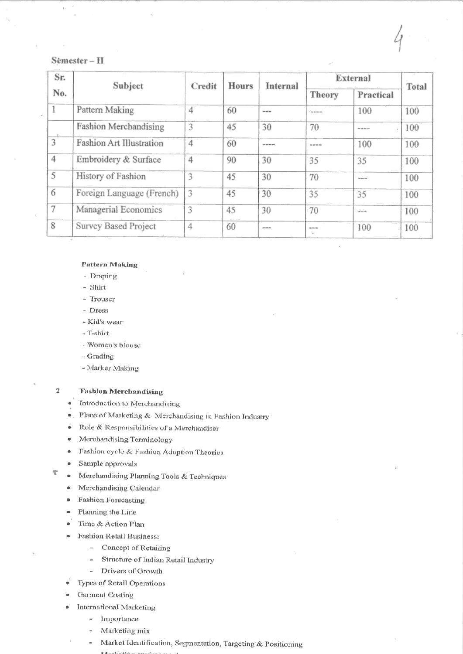#### $Semester - II$

| Sr. | Subject                         | Credit         | Hours | Internal                | External            | Total                 |     |
|-----|---------------------------------|----------------|-------|-------------------------|---------------------|-----------------------|-----|
| No. |                                 |                |       |                         | Practical<br>Theory |                       |     |
|     | Pattern Making                  | 4              | 60    | $- - - -$               | <b>Contractor</b>   | 100                   | 100 |
|     | Fashion Merchandising           | 3              | 45    | 30                      | 70                  | <b>Backer Ref Lat</b> | 100 |
| 3   | <b>Fashion Art Illustration</b> | $\overline{4}$ | 60    | <b>Bill Adviser man</b> | <b>Construction</b> | 100                   | 100 |
| 4   | Embroidery & Surface            | 4              | 90    | 30                      | 35                  | 35                    | 100 |
| 5   | History of Fashion              | 3              | 45    | 30                      | 70                  | المشم                 | 100 |
| 6   | Foreign Language (French)       | 3              | 45    | 30                      | 35                  | 35                    | 100 |
| 7   | Managerial Economics            | 3              | 45    | 30                      | 70                  | عنت                   | 100 |
| 8   | Survey Based Project            | 4              | 60    | 201201201               | <b>Britain</b>      | 100                   | 100 |

#### Pattern Making

- Draping
- Shirt
- Trouser
- Dress
- Kid's wear
- T-shirt
- Women's blouse
- Grading
- Marker Making

#### $\mathbf 2$ **Fashion Merchandising**

- Introduction to Merchandising
- Place of Marketing & Merchandising in Fashion Industry w.
- Role & Responsibilities of a Merchandiser
- Merchandising Terminology ۰
- Fashion cycle & Fashion Adoption Theories. ۰
- Sample approvals  $\bullet$

楷

- Merchandising Planning Tools & Techniques ٠
- Merchandising Calendar ŵ.
- Fashion Forecasting
- Planning the Line
- Time & Action Plan
- Fashion Retail Business:
	- $\sim$ Concept of Retailing
	- Structure of Indian Retail Industry  $\bar{z}$
	- Drivers of Growth  $\dot{=}$
- Types of Retail Operations
- Garment Costing
- International Marketing
	- Importance  $\mu$
	- Marketing mix
	- Market Identification, Segmentation, Targeting & Positioning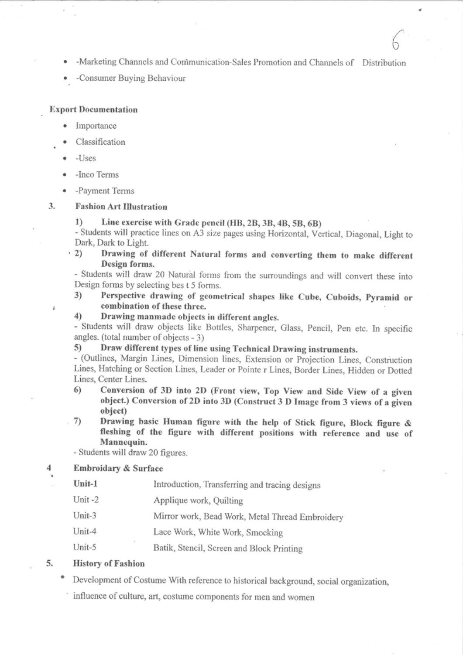- -Marketing Channels and Communication-Sales Promotion and Channels of Distribution
- -Consumer Buying Behaviour

#### **Export Documentation**

- Importance
- Classification
- -Uses

ä

- -Inco Terms
- -Payment Terms

#### 3. **Fashion Art Illustration**

 $\bf{1}$ Line exercise with Grade pencil (HB, 2B, 3B, 4B, 5B, 6B)

- Students will practice lines on A3 size pages using Horizontal, Vertical, Diagonal, Light to Dark, Dark to Light.

Drawing of different Natural forms and converting them to make different  $\cdot$  2) Design forms.

- Students will draw 20 Natural forms from the surroundings and will convert these into Design forms by selecting best 5 forms.

- Perspective drawing of geometrical shapes like Cube, Cuboids, Pyramid or 3) combination of these three.
- $4)$ Drawing manmade objects in different angles.

- Students will draw objects like Bottles, Sharpener, Glass, Pencil, Pen etc. In specific angles. (total number of objects - 3)

Draw different types of line using Technical Drawing instruments. 5)

- (Outlines, Margin Lines, Dimension lines, Extension or Projection Lines, Construction Lines, Hatching or Section Lines, Leader or Pointe r Lines, Border Lines, Hidden or Dotted Lines. Center Lines.

- Conversion of 3D into 2D (Front view, Top View and Side View of a given 6) object.) Conversion of 2D into 3D (Construct 3 D Image from 3 views of a given object)
- $-7)$ Drawing basic Human figure with the help of Stick figure, Block figure & fleshing of the figure with different positions with reference and use of Mannequin.

- Students will draw 20 figures.

#### 4 Embroidary & Surface

- Unit-1 Introduction, Transferring and tracing designs
- Unit-2 Applique work, Quilting
- $Unit-3$ Mirror work, Bead Work, Metal Thread Embroidery
- Unit-4 Lace Work, White Work, Smocking
- Unit-5 Batik, Stencil, Screen and Block Printing

#### 5. **History of Fashion**

- Development of Costume With reference to historical background, social organization,
	- influence of culture, art, costume components for men and women